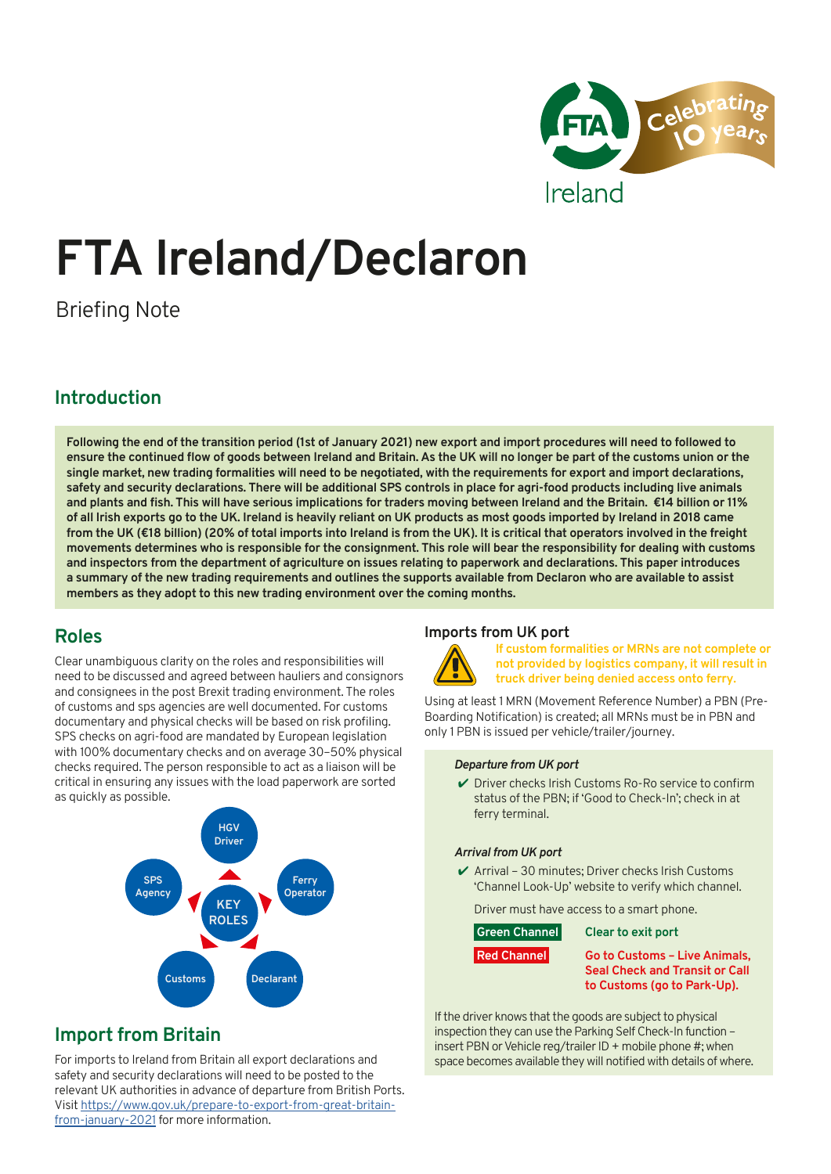

# **FTA Ireland/Declaron**

Briefing Note

## **Introduction**

**Following the end of the transition period (1st of January 2021) new export and import procedures will need to followed to ensure the continued flow of goods between Ireland and Britain. As the UK will no longer be part of the customs union or the single market, new trading formalities will need to be negotiated, with the requirements for export and import declarations, safety and security declarations. There will be additional SPS controls in place for agri-food products including live animals and plants and fish. This will have serious implications for traders moving between Ireland and the Britain. €14 billion or 11% of all Irish exports go to the UK. Ireland is heavily reliant on UK products as most goods imported by Ireland in 2018 came from the UK (€18 billion) (20% of total imports into Ireland is from the UK). It is critical that operators involved in the freight movements determines who is responsible for the consignment. This role will bear the responsibility for dealing with customs and inspectors from the department of agriculture on issues relating to paperwork and declarations. This paper introduces a summary of the new trading requirements and outlines the supports available from Declaron who are available to assist members as they adopt to this new trading environment over the coming months.**

## **Roles**

Clear unambiguous clarity on the roles and responsibilities will need to be discussed and agreed between hauliers and consignors and consignees in the post Brexit trading environment. The roles of customs and sps agencies are well documented. For customs documentary and physical checks will be based on risk profiling. SPS checks on agri-food are mandated by European legislation with 100% documentary checks and on average 30–50% physical checks required. The person responsible to act as a liaison will be critical in ensuring any issues with the load paperwork are sorted as quickly as possible.



## **Import from Britain**

For imports to Ireland from Britain all export declarations and safety and security declarations will need to be posted to the relevant UK authorities in advance of departure from British Ports. Visit [https://www.gov.uk/prepare-to-export-from-great-britain](https://www.gov.uk/prepare-to-export-from-great-britain-from-january-2021)[from-january-2021](https://www.gov.uk/prepare-to-export-from-great-britain-from-january-2021) for more information.

## **Imports from UK port**



**If custom formalities or MRNs are not complete or not provided by logistics company, it will result in truck driver being denied access onto ferry.**

Using at least 1 MRN (Movement Reference Number) a PBN (Pre-Boarding Notification) is created; all MRNs must be in PBN and only 1 PBN is issued per vehicle/trailer/journey.

### *Departure from UK port*

 $\vee$  Driver checks Irish Customs Ro-Ro service to confirm status of the PBN; if 'Good to Check-In'; check in at ferry terminal.

### *Arrival from UK port*

 $\vee$  Arrival – 30 minutes; Driver checks Irish Customs 'Channel Look-Up' website to verify which channel.

Driver must have access to a smart phone.

| Green Channel | Clear to exit port                                                                                           |
|---------------|--------------------------------------------------------------------------------------------------------------|
| Red Channel   | <b>Go to Customs - Live Animals,</b><br><b>Seal Check and Transit or Call</b><br>to Customs (go to Park-Up). |

If the driver knows that the goods are subject to physical inspection they can use the Parking Self Check-In function – insert PBN or Vehicle reg/trailer ID + mobile phone #; when space becomes available they will notified with details of where.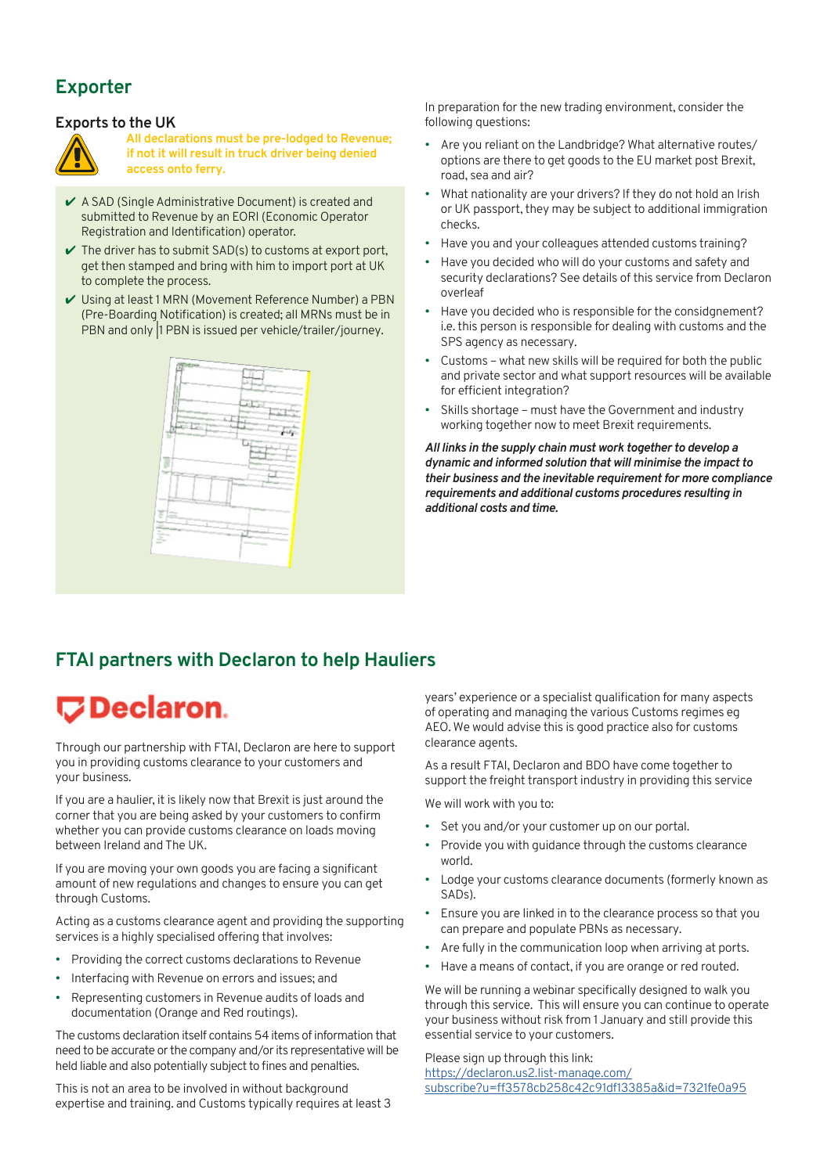## **Exporter**

## **Exports to the UK**



**All declarations must be pre-lodged to Revenue; if not it will result in truck driver being denied access onto ferry.**

- $\vee$  A SAD (Single Administrative Document) is created and submitted to Revenue by an EORI (Economic Operator Registration and Identification) operator.
- $\vee$  The driver has to submit SAD(s) to customs at export port, get then stamped and bring with him to import port at UK to complete the process.
- $\checkmark$  Using at least 1 MRN (Movement Reference Number) a PBN (Pre-Boarding Notification) is created; all MRNs must be in PBN and only 1 PBN is issued per vehicle/trailer/journey.



In preparation for the new trading environment, consider the following questions:

- Are you reliant on the Landbridge? What alternative routes/ options are there to get goods to the EU market post Brexit, road, sea and air?
- What nationality are your drivers? If they do not hold an Irish or UK passport, they may be subject to additional immigration checks.
- Have you and your colleagues attended customs training?
- Have you decided who will do your customs and safety and security declarations? See details of this service from Declaron overleaf
- Have you decided who is responsible for the considgnement? i.e. this person is responsible for dealing with customs and the SPS agency as necessary.
- Customs what new skills will be required for both the public and private sector and what support resources will be available for efficient integration?
- Skills shortage must have the Government and industry working together now to meet Brexit requirements.

*All links in the supply chain must work together to develop a dynamic and informed solution that will minimise the impact to their business and the inevitable requirement for more compliance requirements and additional customs procedures resulting in additional costs and time.*

## **FTAI partners with Declaron to help Hauliers**

## **ワDeclaron.**

Through our partnership with FTAI, Declaron are here to support you in providing customs clearance to your customers and your business.

If you are a haulier, it is likely now that Brexit is just around the corner that you are being asked by your customers to confirm whether you can provide customs clearance on loads moving between Ireland and The UK.

If you are moving your own goods you are facing a significant amount of new regulations and changes to ensure you can get through Customs.

Acting as a customs clearance agent and providing the supporting services is a highly specialised offering that involves:

- Providing the correct customs declarations to Revenue
- Interfacing with Revenue on errors and issues; and
- Representing customers in Revenue audits of loads and documentation (Orange and Red routings).

The customs declaration itself contains 54 items of information that need to be accurate or the company and/or its representative will be held liable and also potentially subject to fines and penalties.

This is not an area to be involved in without background expertise and training. and Customs typically requires at least 3 years' experience or a specialist qualification for many aspects of operating and managing the various Customs regimes eg AEO. We would advise this is good practice also for customs clearance agents.

As a result FTAI, Declaron and BDO have come together to support the freight transport industry in providing this service

We will work with you to:

- Set you and/or your customer up on our portal.
- Provide you with guidance through the customs clearance world.
- Lodge your customs clearance documents (formerly known as SADs).
- Ensure you are linked in to the clearance process so that you can prepare and populate PBNs as necessary.
- Are fully in the communication loop when arriving at ports.
- Have a means of contact, if you are orange or red routed.

We will be running a webinar specifically designed to walk you through this service. This will ensure you can continue to operate your business without risk from 1 January and still provide this essential service to your customers.

Please sign up through this link: [https://declaron.us2.list-manage.com/](https://declaron.us2.list-manage.com/subscribe?u=ff3578cb258c42c91df13385a&id=7321fe0a95) [subscribe?u=ff3578cb258c42c91df13385a&id=7321fe0a95](https://declaron.us2.list-manage.com/subscribe?u=ff3578cb258c42c91df13385a&id=7321fe0a95)